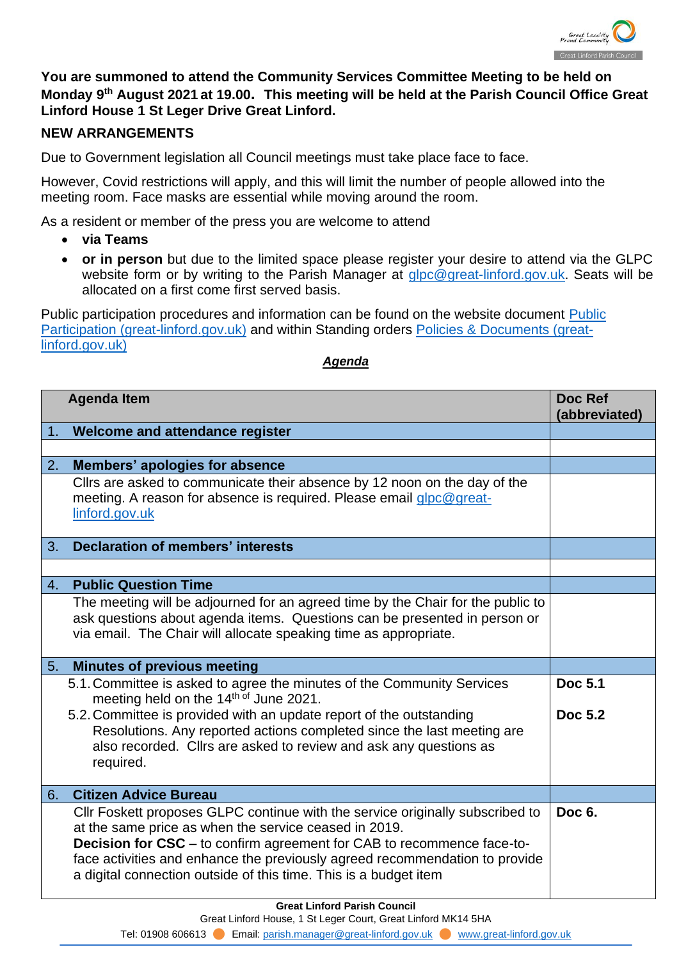

**You are summoned to attend the Community Services Committee Meeting to be held on Monday 9th August 2021 at 19.00. This meeting will be held at the Parish Council Office Great Linford House 1 St Leger Drive Great Linford.**

## **NEW ARRANGEMENTS**

Due to Government legislation all Council meetings must take place face to face.

However, Covid restrictions will apply, and this will limit the number of people allowed into the meeting room. Face masks are essential while moving around the room.

As a resident or member of the press you are welcome to attend

- **via Teams**
- **or in person** but due to the limited space please register your desire to attend via the GLPC website form or by writing to the Parish Manager at [glpc@great-linford.gov.uk.](mailto:glpc@great-linford.gov.uk) Seats will be allocated on a first come first served basis.

Public participation procedures and information can be found on the website document [Public](https://www.great-linford.gov.uk/council-meetings/public-participation/)  [Participation \(great-linford.gov.uk\)](https://www.great-linford.gov.uk/council-meetings/public-participation/) and within Standing orders [Policies & Documents \(great](https://www.great-linford.gov.uk/the-parish-council/policies-documents/)[linford.gov.uk\)](https://www.great-linford.gov.uk/the-parish-council/policies-documents/)

## *Agenda*

| <b>Agenda Item</b> |                                                                                                                                                                                                                                                                                                                                                                            | Doc Ref<br>(abbreviated) |
|--------------------|----------------------------------------------------------------------------------------------------------------------------------------------------------------------------------------------------------------------------------------------------------------------------------------------------------------------------------------------------------------------------|--------------------------|
| 1 <sub>1</sub>     | Welcome and attendance register                                                                                                                                                                                                                                                                                                                                            |                          |
|                    |                                                                                                                                                                                                                                                                                                                                                                            |                          |
| 2.                 | <b>Members' apologies for absence</b>                                                                                                                                                                                                                                                                                                                                      |                          |
|                    | Cllrs are asked to communicate their absence by 12 noon on the day of the<br>meeting. A reason for absence is required. Please email glpc@great-<br>linford.gov.uk                                                                                                                                                                                                         |                          |
| 3.                 | <b>Declaration of members' interests</b>                                                                                                                                                                                                                                                                                                                                   |                          |
|                    |                                                                                                                                                                                                                                                                                                                                                                            |                          |
| 4.                 | <b>Public Question Time</b>                                                                                                                                                                                                                                                                                                                                                |                          |
|                    | The meeting will be adjourned for an agreed time by the Chair for the public to<br>ask questions about agenda items. Questions can be presented in person or<br>via email. The Chair will allocate speaking time as appropriate.                                                                                                                                           |                          |
| 5.                 | <b>Minutes of previous meeting</b>                                                                                                                                                                                                                                                                                                                                         |                          |
|                    | 5.1. Committee is asked to agree the minutes of the Community Services<br>meeting held on the 14 <sup>th of</sup> June 2021.<br>5.2. Committee is provided with an update report of the outstanding<br>Resolutions. Any reported actions completed since the last meeting are<br>also recorded. Cllrs are asked to review and ask any questions as<br>required.            | Doc 5.1<br>Doc 5.2       |
| 6.                 | <b>Citizen Advice Bureau</b>                                                                                                                                                                                                                                                                                                                                               |                          |
|                    | CIIr Foskett proposes GLPC continue with the service originally subscribed to<br>at the same price as when the service ceased in 2019.<br><b>Decision for CSC</b> – to confirm agreement for CAB to recommence face-to-<br>face activities and enhance the previously agreed recommendation to provide<br>a digital connection outside of this time. This is a budget item | Doc 6.                   |